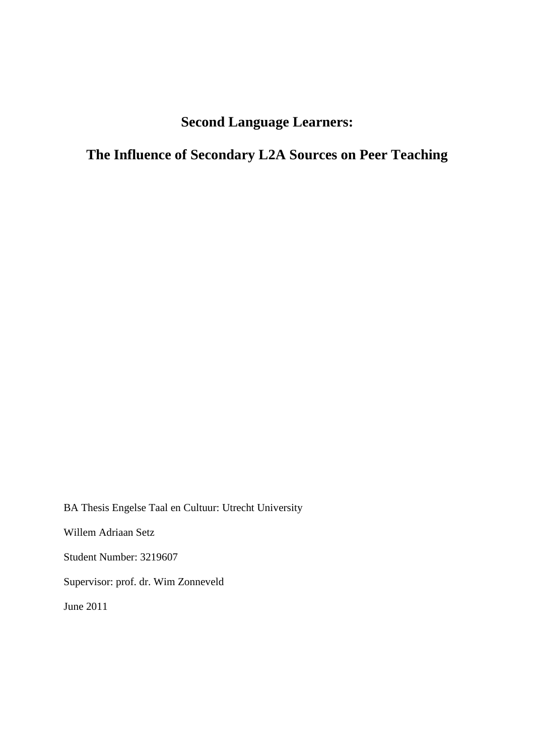# **Second Language Learners:**

**The Influence of Secondary L2A Sources on Peer Teaching** 

BA Thesis Engelse Taal en Cultuur: Utrecht University Willem Adriaan Setz Student Number: 3219607 Supervisor: prof. dr. Wim Zonneveld June 2011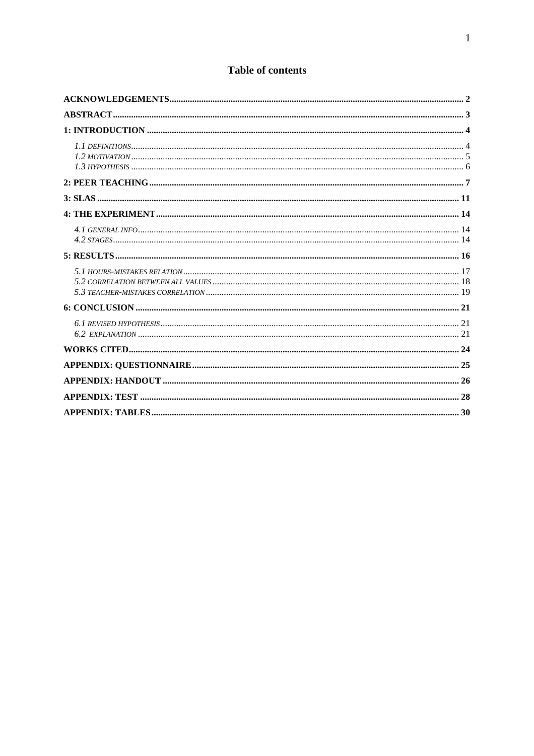## **Table of contents**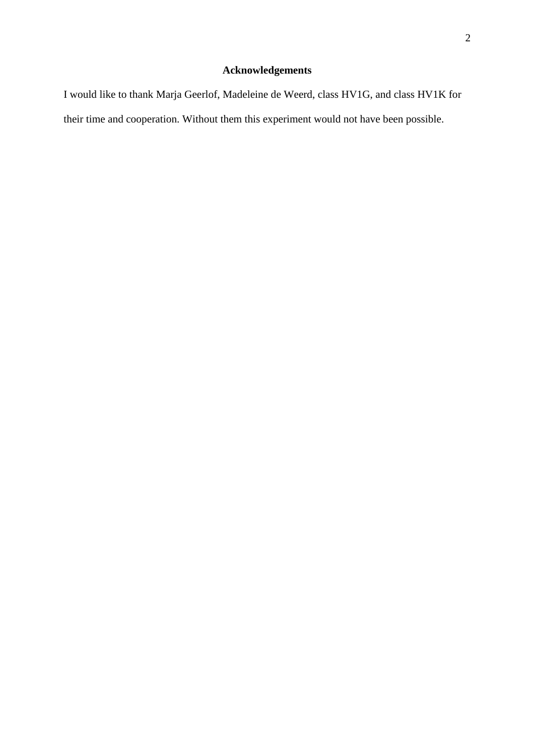# **Acknowledgements**

I would like to thank Marja Geerlof, Madeleine de Weerd, class HV1G, and class HV1K for their time and cooperation. Without them this experiment would not have been possible.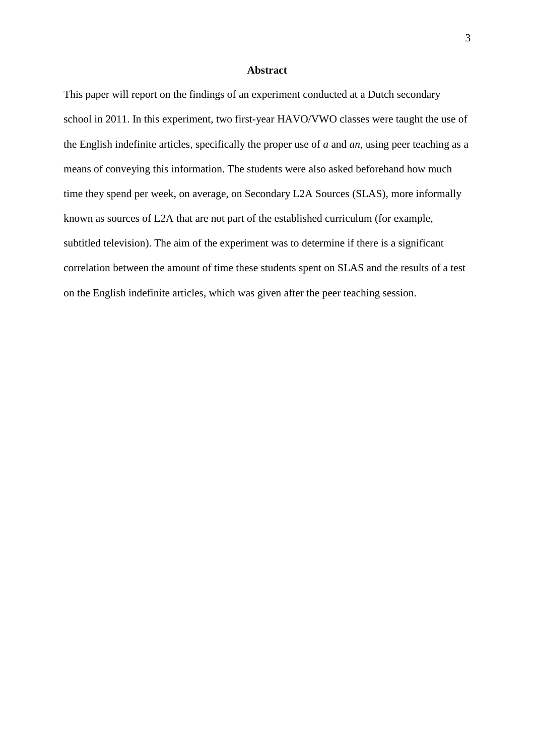#### **Abstract**

This paper will report on the findings of an experiment conducted at a Dutch secondary school in 2011. In this experiment, two first-year HAVO/VWO classes were taught the use of the English indefinite articles, specifically the proper use of *a* and *an*, using peer teaching as a means of conveying this information. The students were also asked beforehand how much time they spend per week, on average, on Secondary L2A Sources (SLAS), more informally known as sources of L2A that are not part of the established curriculum (for example, subtitled television). The aim of the experiment was to determine if there is a significant correlation between the amount of time these students spent on SLAS and the results of a test on the English indefinite articles, which was given after the peer teaching session.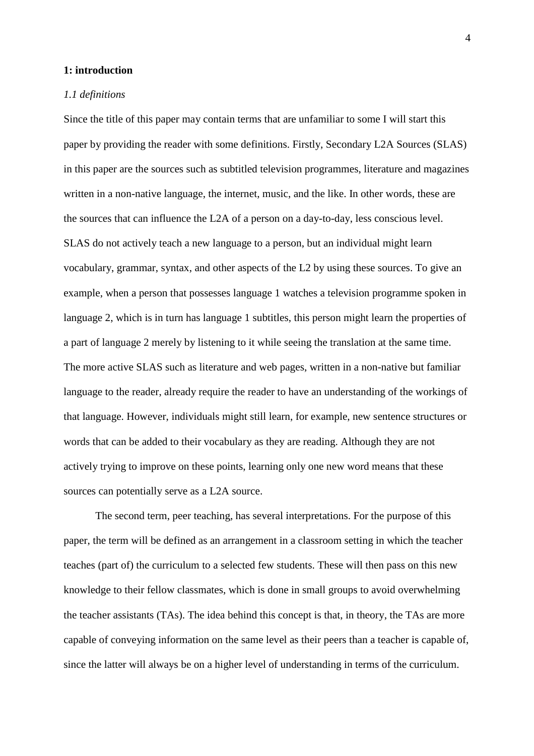#### **1: introduction**

#### *1.1 definitions*

Since the title of this paper may contain terms that are unfamiliar to some I will start this paper by providing the reader with some definitions. Firstly, Secondary L2A Sources (SLAS) in this paper are the sources such as subtitled television programmes, literature and magazines written in a non-native language, the internet, music, and the like. In other words, these are the sources that can influence the L2A of a person on a day-to-day, less conscious level. SLAS do not actively teach a new language to a person, but an individual might learn vocabulary, grammar, syntax, and other aspects of the L2 by using these sources. To give an example, when a person that possesses language 1 watches a television programme spoken in language 2, which is in turn has language 1 subtitles, this person might learn the properties of a part of language 2 merely by listening to it while seeing the translation at the same time. The more active SLAS such as literature and web pages, written in a non-native but familiar language to the reader, already require the reader to have an understanding of the workings of that language. However, individuals might still learn, for example, new sentence structures or words that can be added to their vocabulary as they are reading. Although they are not actively trying to improve on these points, learning only one new word means that these sources can potentially serve as a L2A source.

 The second term, peer teaching, has several interpretations. For the purpose of this paper, the term will be defined as an arrangement in a classroom setting in which the teacher teaches (part of) the curriculum to a selected few students. These will then pass on this new knowledge to their fellow classmates, which is done in small groups to avoid overwhelming the teacher assistants (TAs). The idea behind this concept is that, in theory, the TAs are more capable of conveying information on the same level as their peers than a teacher is capable of, since the latter will always be on a higher level of understanding in terms of the curriculum.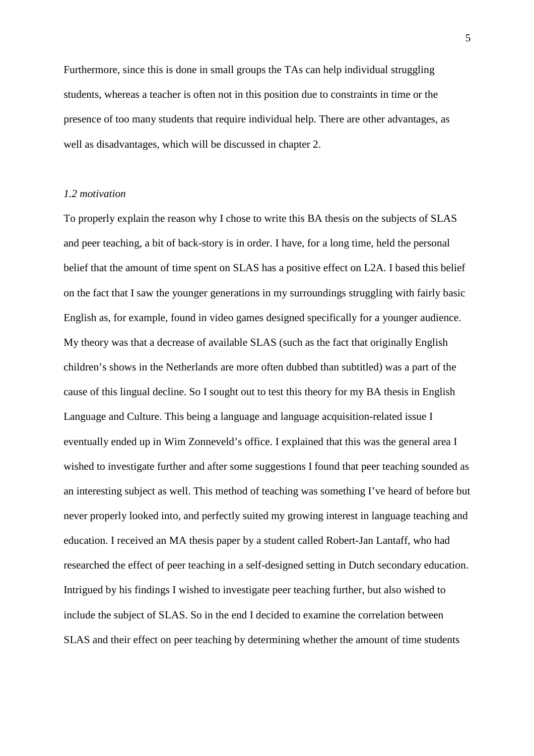Furthermore, since this is done in small groups the TAs can help individual struggling students, whereas a teacher is often not in this position due to constraints in time or the presence of too many students that require individual help. There are other advantages, as well as disadvantages, which will be discussed in chapter 2.

#### *1.2 motivation*

To properly explain the reason why I chose to write this BA thesis on the subjects of SLAS and peer teaching, a bit of back-story is in order. I have, for a long time, held the personal belief that the amount of time spent on SLAS has a positive effect on L2A. I based this belief on the fact that I saw the younger generations in my surroundings struggling with fairly basic English as, for example, found in video games designed specifically for a younger audience. My theory was that a decrease of available SLAS (such as the fact that originally English children's shows in the Netherlands are more often dubbed than subtitled) was a part of the cause of this lingual decline. So I sought out to test this theory for my BA thesis in English Language and Culture. This being a language and language acquisition-related issue I eventually ended up in Wim Zonneveld's office. I explained that this was the general area I wished to investigate further and after some suggestions I found that peer teaching sounded as an interesting subject as well. This method of teaching was something I've heard of before but never properly looked into, and perfectly suited my growing interest in language teaching and education. I received an MA thesis paper by a student called Robert-Jan Lantaff, who had researched the effect of peer teaching in a self-designed setting in Dutch secondary education. Intrigued by his findings I wished to investigate peer teaching further, but also wished to include the subject of SLAS. So in the end I decided to examine the correlation between SLAS and their effect on peer teaching by determining whether the amount of time students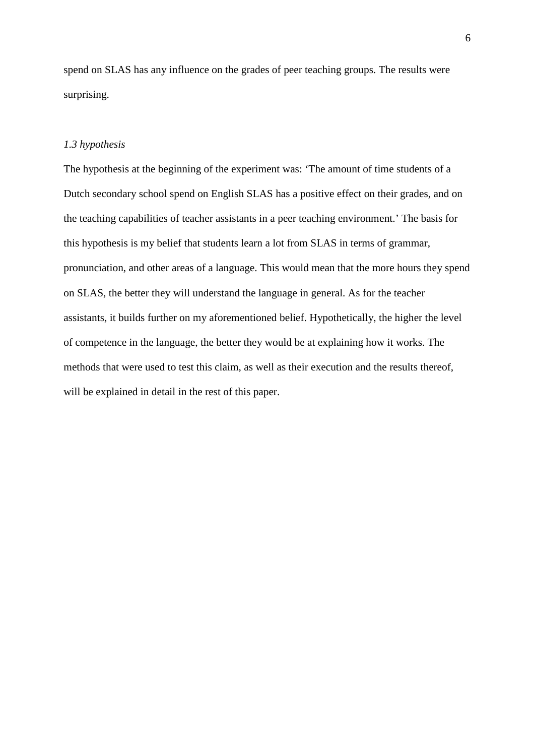spend on SLAS has any influence on the grades of peer teaching groups. The results were surprising.

## *1.3 hypothesis*

The hypothesis at the beginning of the experiment was: 'The amount of time students of a Dutch secondary school spend on English SLAS has a positive effect on their grades, and on the teaching capabilities of teacher assistants in a peer teaching environment.' The basis for this hypothesis is my belief that students learn a lot from SLAS in terms of grammar, pronunciation, and other areas of a language. This would mean that the more hours they spend on SLAS, the better they will understand the language in general. As for the teacher assistants, it builds further on my aforementioned belief. Hypothetically, the higher the level of competence in the language, the better they would be at explaining how it works. The methods that were used to test this claim, as well as their execution and the results thereof, will be explained in detail in the rest of this paper.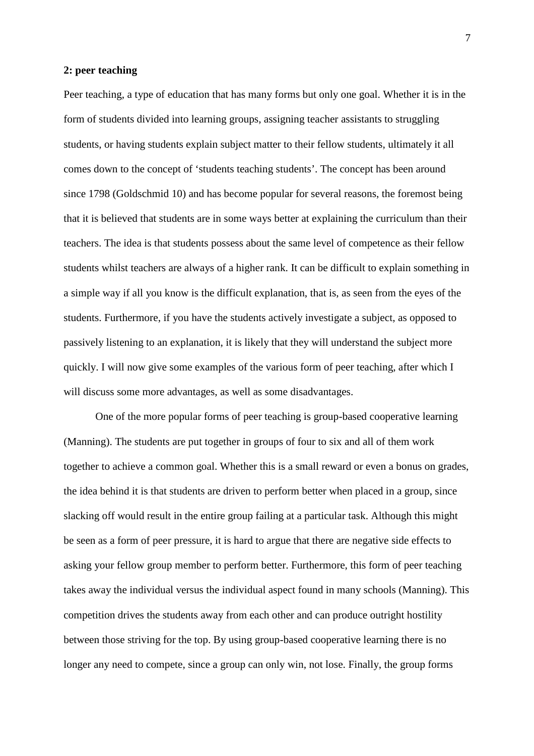#### **2: peer teaching**

Peer teaching, a type of education that has many forms but only one goal. Whether it is in the form of students divided into learning groups, assigning teacher assistants to struggling students, or having students explain subject matter to their fellow students, ultimately it all comes down to the concept of 'students teaching students'. The concept has been around since 1798 (Goldschmid 10) and has become popular for several reasons, the foremost being that it is believed that students are in some ways better at explaining the curriculum than their teachers. The idea is that students possess about the same level of competence as their fellow students whilst teachers are always of a higher rank. It can be difficult to explain something in a simple way if all you know is the difficult explanation, that is, as seen from the eyes of the students. Furthermore, if you have the students actively investigate a subject, as opposed to passively listening to an explanation, it is likely that they will understand the subject more quickly. I will now give some examples of the various form of peer teaching, after which I will discuss some more advantages, as well as some disadvantages.

One of the more popular forms of peer teaching is group-based cooperative learning (Manning). The students are put together in groups of four to six and all of them work together to achieve a common goal. Whether this is a small reward or even a bonus on grades, the idea behind it is that students are driven to perform better when placed in a group, since slacking off would result in the entire group failing at a particular task. Although this might be seen as a form of peer pressure, it is hard to argue that there are negative side effects to asking your fellow group member to perform better. Furthermore, this form of peer teaching takes away the individual versus the individual aspect found in many schools (Manning). This competition drives the students away from each other and can produce outright hostility between those striving for the top. By using group-based cooperative learning there is no longer any need to compete, since a group can only win, not lose. Finally, the group forms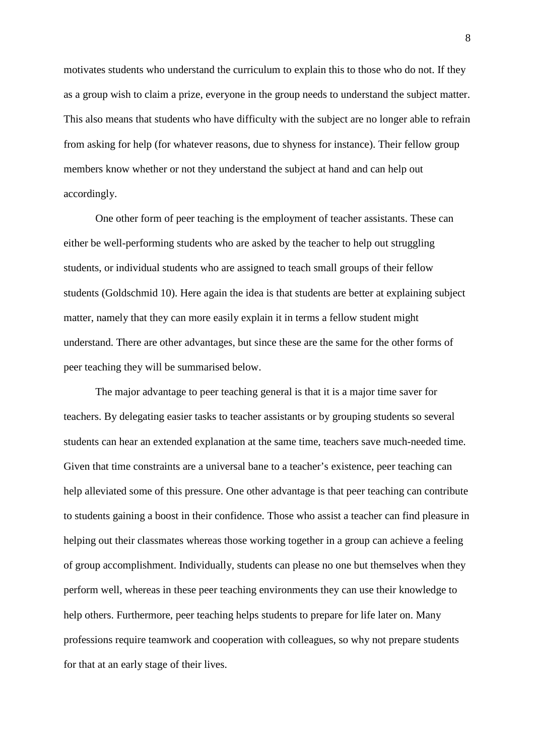motivates students who understand the curriculum to explain this to those who do not. If they as a group wish to claim a prize, everyone in the group needs to understand the subject matter. This also means that students who have difficulty with the subject are no longer able to refrain from asking for help (for whatever reasons, due to shyness for instance). Their fellow group members know whether or not they understand the subject at hand and can help out accordingly.

One other form of peer teaching is the employment of teacher assistants. These can either be well-performing students who are asked by the teacher to help out struggling students, or individual students who are assigned to teach small groups of their fellow students (Goldschmid 10). Here again the idea is that students are better at explaining subject matter, namely that they can more easily explain it in terms a fellow student might understand. There are other advantages, but since these are the same for the other forms of peer teaching they will be summarised below.

The major advantage to peer teaching general is that it is a major time saver for teachers. By delegating easier tasks to teacher assistants or by grouping students so several students can hear an extended explanation at the same time, teachers save much-needed time. Given that time constraints are a universal bane to a teacher's existence, peer teaching can help alleviated some of this pressure. One other advantage is that peer teaching can contribute to students gaining a boost in their confidence. Those who assist a teacher can find pleasure in helping out their classmates whereas those working together in a group can achieve a feeling of group accomplishment. Individually, students can please no one but themselves when they perform well, whereas in these peer teaching environments they can use their knowledge to help others. Furthermore, peer teaching helps students to prepare for life later on. Many professions require teamwork and cooperation with colleagues, so why not prepare students for that at an early stage of their lives.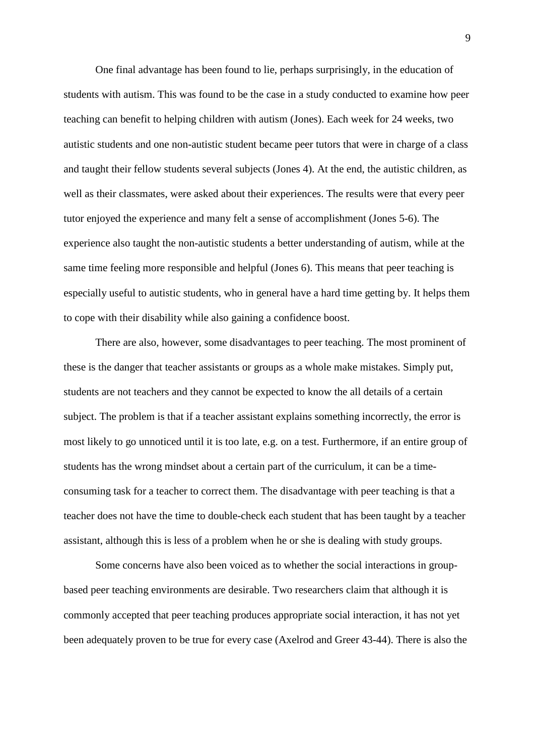One final advantage has been found to lie, perhaps surprisingly, in the education of students with autism. This was found to be the case in a study conducted to examine how peer teaching can benefit to helping children with autism (Jones). Each week for 24 weeks, two autistic students and one non-autistic student became peer tutors that were in charge of a class and taught their fellow students several subjects (Jones 4). At the end, the autistic children, as well as their classmates, were asked about their experiences. The results were that every peer tutor enjoyed the experience and many felt a sense of accomplishment (Jones 5-6). The experience also taught the non-autistic students a better understanding of autism, while at the same time feeling more responsible and helpful (Jones 6). This means that peer teaching is especially useful to autistic students, who in general have a hard time getting by. It helps them to cope with their disability while also gaining a confidence boost.

There are also, however, some disadvantages to peer teaching. The most prominent of these is the danger that teacher assistants or groups as a whole make mistakes. Simply put, students are not teachers and they cannot be expected to know the all details of a certain subject. The problem is that if a teacher assistant explains something incorrectly, the error is most likely to go unnoticed until it is too late, e.g. on a test. Furthermore, if an entire group of students has the wrong mindset about a certain part of the curriculum, it can be a timeconsuming task for a teacher to correct them. The disadvantage with peer teaching is that a teacher does not have the time to double-check each student that has been taught by a teacher assistant, although this is less of a problem when he or she is dealing with study groups.

 Some concerns have also been voiced as to whether the social interactions in groupbased peer teaching environments are desirable. Two researchers claim that although it is commonly accepted that peer teaching produces appropriate social interaction, it has not yet been adequately proven to be true for every case (Axelrod and Greer 43-44). There is also the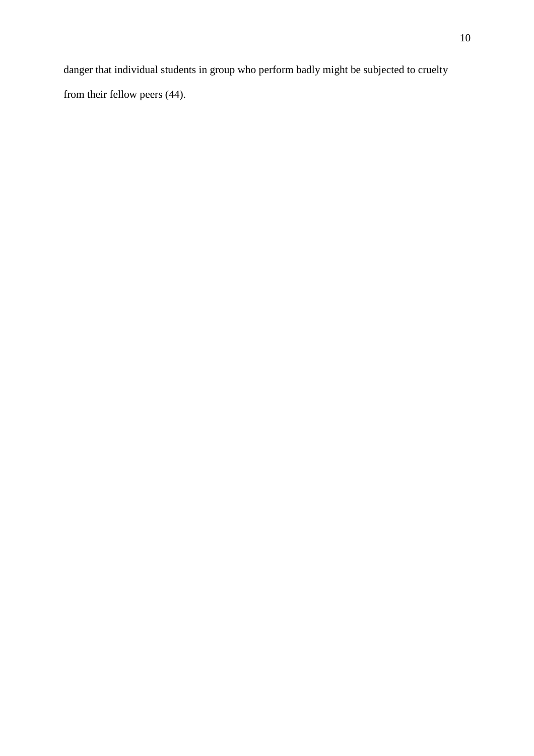danger that individual students in group who perform badly might be subjected to cruelty from their fellow peers (44).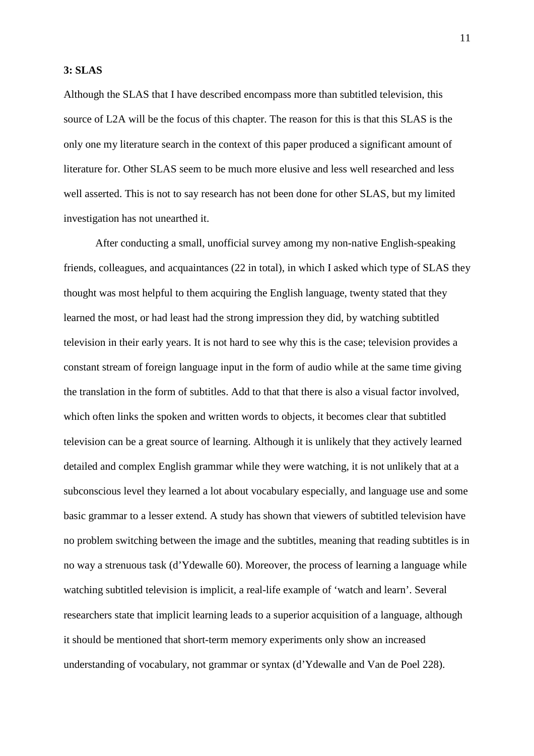#### **3: SLAS**

Although the SLAS that I have described encompass more than subtitled television, this source of L2A will be the focus of this chapter. The reason for this is that this SLAS is the only one my literature search in the context of this paper produced a significant amount of literature for. Other SLAS seem to be much more elusive and less well researched and less well asserted. This is not to say research has not been done for other SLAS, but my limited investigation has not unearthed it.

 After conducting a small, unofficial survey among my non-native English-speaking friends, colleagues, and acquaintances (22 in total), in which I asked which type of SLAS they thought was most helpful to them acquiring the English language, twenty stated that they learned the most, or had least had the strong impression they did, by watching subtitled television in their early years. It is not hard to see why this is the case; television provides a constant stream of foreign language input in the form of audio while at the same time giving the translation in the form of subtitles. Add to that that there is also a visual factor involved, which often links the spoken and written words to objects, it becomes clear that subtitled television can be a great source of learning. Although it is unlikely that they actively learned detailed and complex English grammar while they were watching, it is not unlikely that at a subconscious level they learned a lot about vocabulary especially, and language use and some basic grammar to a lesser extend. A study has shown that viewers of subtitled television have no problem switching between the image and the subtitles, meaning that reading subtitles is in no way a strenuous task (d'Ydewalle 60). Moreover, the process of learning a language while watching subtitled television is implicit, a real-life example of 'watch and learn'. Several researchers state that implicit learning leads to a superior acquisition of a language, although it should be mentioned that short-term memory experiments only show an increased understanding of vocabulary, not grammar or syntax (d'Ydewalle and Van de Poel 228).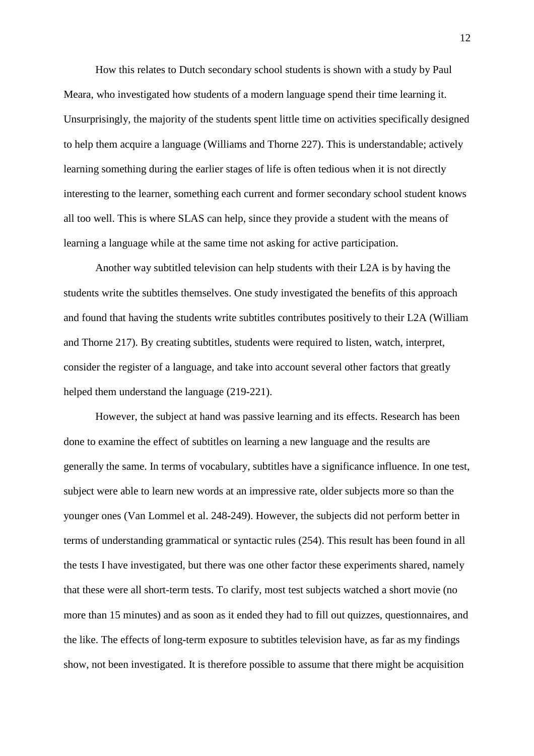How this relates to Dutch secondary school students is shown with a study by Paul Meara, who investigated how students of a modern language spend their time learning it. Unsurprisingly, the majority of the students spent little time on activities specifically designed to help them acquire a language (Williams and Thorne 227). This is understandable; actively learning something during the earlier stages of life is often tedious when it is not directly interesting to the learner, something each current and former secondary school student knows all too well. This is where SLAS can help, since they provide a student with the means of learning a language while at the same time not asking for active participation.

 Another way subtitled television can help students with their L2A is by having the students write the subtitles themselves. One study investigated the benefits of this approach and found that having the students write subtitles contributes positively to their L2A (William and Thorne 217). By creating subtitles, students were required to listen, watch, interpret, consider the register of a language, and take into account several other factors that greatly helped them understand the language (219-221).

 However, the subject at hand was passive learning and its effects. Research has been done to examine the effect of subtitles on learning a new language and the results are generally the same. In terms of vocabulary, subtitles have a significance influence. In one test, subject were able to learn new words at an impressive rate, older subjects more so than the younger ones (Van Lommel et al. 248-249). However, the subjects did not perform better in terms of understanding grammatical or syntactic rules (254). This result has been found in all the tests I have investigated, but there was one other factor these experiments shared, namely that these were all short-term tests. To clarify, most test subjects watched a short movie (no more than 15 minutes) and as soon as it ended they had to fill out quizzes, questionnaires, and the like. The effects of long-term exposure to subtitles television have, as far as my findings show, not been investigated. It is therefore possible to assume that there might be acquisition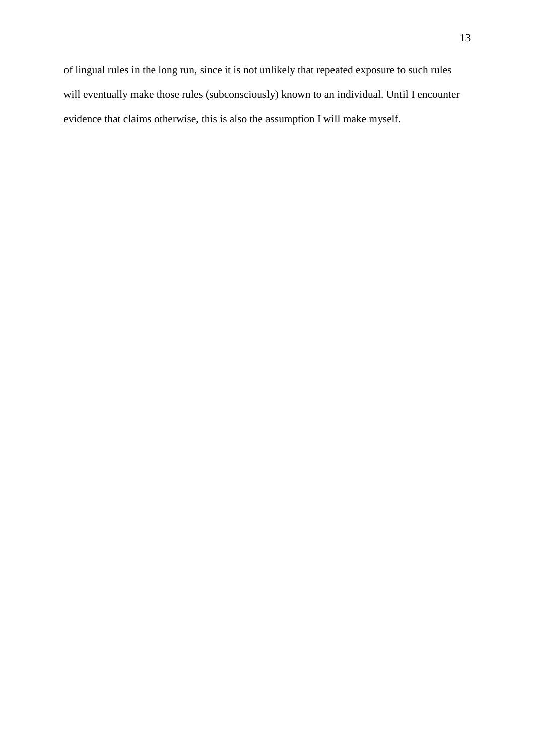of lingual rules in the long run, since it is not unlikely that repeated exposure to such rules will eventually make those rules (subconsciously) known to an individual. Until I encounter evidence that claims otherwise, this is also the assumption I will make myself.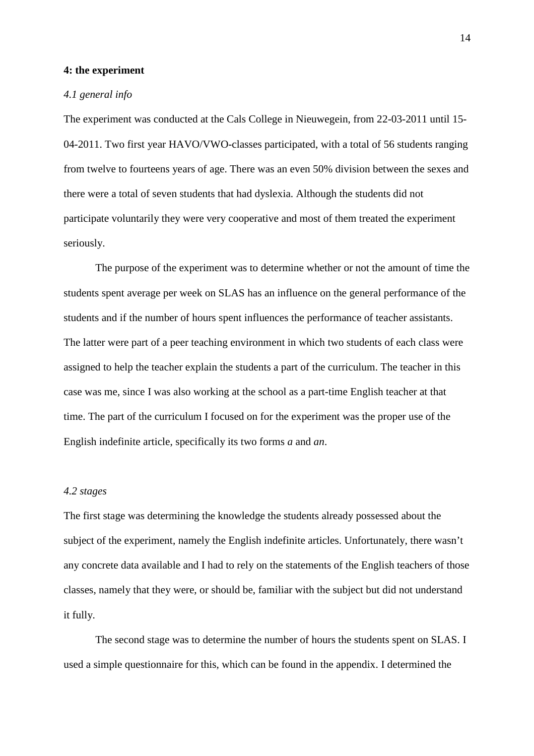#### **4: the experiment**

#### *4.1 general info*

The experiment was conducted at the Cals College in Nieuwegein, from 22-03-2011 until 15- 04-2011. Two first year HAVO/VWO-classes participated, with a total of 56 students ranging from twelve to fourteens years of age. There was an even 50% division between the sexes and there were a total of seven students that had dyslexia. Although the students did not participate voluntarily they were very cooperative and most of them treated the experiment seriously.

 The purpose of the experiment was to determine whether or not the amount of time the students spent average per week on SLAS has an influence on the general performance of the students and if the number of hours spent influences the performance of teacher assistants. The latter were part of a peer teaching environment in which two students of each class were assigned to help the teacher explain the students a part of the curriculum. The teacher in this case was me, since I was also working at the school as a part-time English teacher at that time. The part of the curriculum I focused on for the experiment was the proper use of the English indefinite article, specifically its two forms *a* and *an*.

#### *4.2 stages*

The first stage was determining the knowledge the students already possessed about the subject of the experiment, namely the English indefinite articles. Unfortunately, there wasn't any concrete data available and I had to rely on the statements of the English teachers of those classes, namely that they were, or should be, familiar with the subject but did not understand it fully.

The second stage was to determine the number of hours the students spent on SLAS. I used a simple questionnaire for this, which can be found in the appendix. I determined the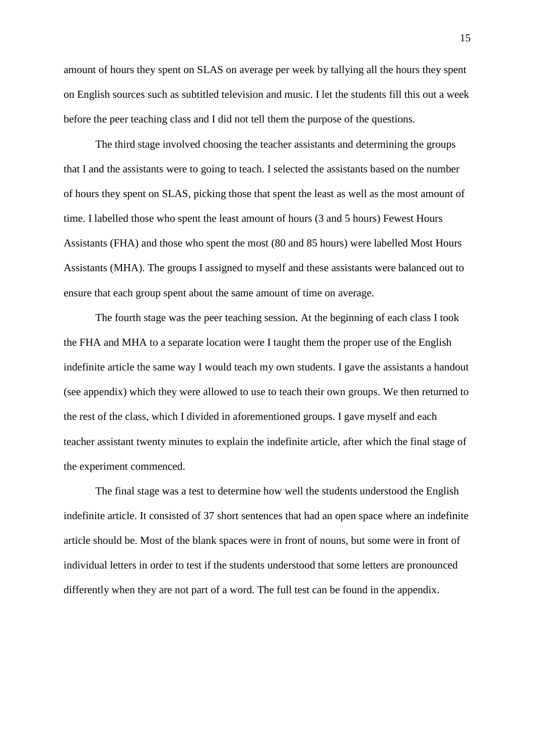amount of hours they spent on SLAS on average per week by tallying all the hours they spent on English sources such as subtitled television and music. I let the students fill this out a week before the peer teaching class and I did not tell them the purpose of the questions.

The third stage involved choosing the teacher assistants and determining the groups that I and the assistants were to going to teach. I selected the assistants based on the number of hours they spent on SLAS, picking those that spent the least as well as the most amount of time. I labelled those who spent the least amount of hours (3 and 5 hours) Fewest Hours Assistants (FHA) and those who spent the most (80 and 85 hours) were labelled Most Hours Assistants (MHA). The groups I assigned to myself and these assistants were balanced out to ensure that each group spent about the same amount of time on average.

The fourth stage was the peer teaching session. At the beginning of each class I took the FHA and MHA to a separate location were I taught them the proper use of the English indefinite article the same way I would teach my own students. I gave the assistants a handout (see appendix) which they were allowed to use to teach their own groups. We then returned to the rest of the class, which I divided in aforementioned groups. I gave myself and each teacher assistant twenty minutes to explain the indefinite article, after which the final stage of the experiment commenced.

The final stage was a test to determine how well the students understood the English indefinite article. It consisted of 37 short sentences that had an open space where an indefinite article should be. Most of the blank spaces were in front of nouns, but some were in front of individual letters in order to test if the students understood that some letters are pronounced differently when they are not part of a word. The full test can be found in the appendix.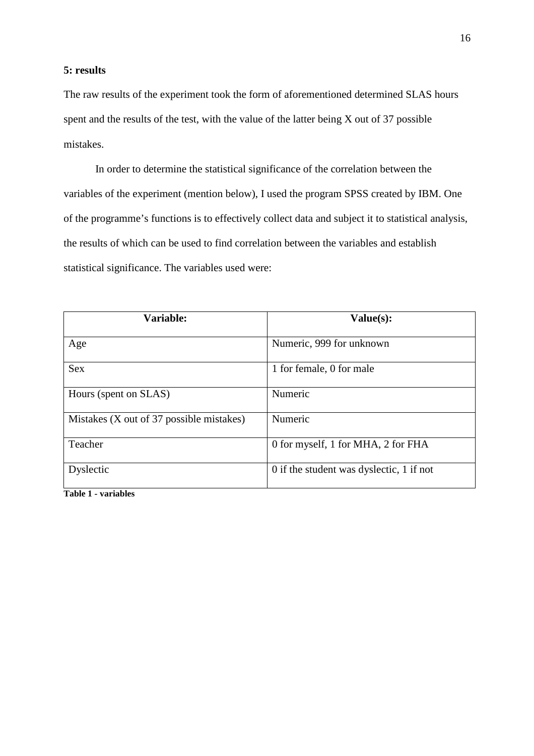### **5: results**

The raw results of the experiment took the form of aforementioned determined SLAS hours spent and the results of the test, with the value of the latter being X out of 37 possible mistakes.

 In order to determine the statistical significance of the correlation between the variables of the experiment (mention below), I used the program SPSS created by IBM. One of the programme's functions is to effectively collect data and subject it to statistical analysis, the results of which can be used to find correlation between the variables and establish statistical significance. The variables used were:

| Variable:                                | Value(s):                                |
|------------------------------------------|------------------------------------------|
| Age                                      | Numeric, 999 for unknown                 |
| <b>Sex</b>                               | 1 for female, 0 for male                 |
| Hours (spent on SLAS)                    | Numeric                                  |
| Mistakes (X out of 37 possible mistakes) | Numeric                                  |
| Teacher                                  | 0 for myself, 1 for MHA, 2 for FHA       |
| Dyslectic<br>.                           | 0 if the student was dyslectic, 1 if not |

**Table 1 - variables**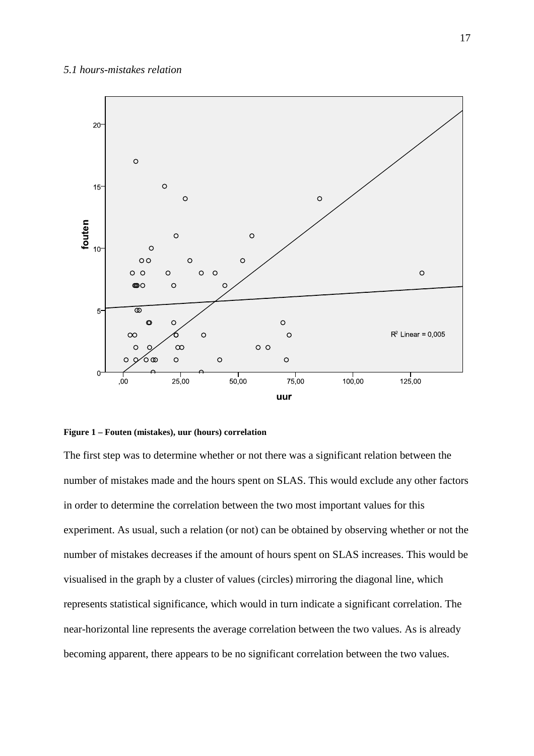

#### **Figure 1 – Fouten (mistakes), uur (hours) correlation**

The first step was to determine whether or not there was a significant relation between the number of mistakes made and the hours spent on SLAS. This would exclude any other factors in order to determine the correlation between the two most important values for this experiment. As usual, such a relation (or not) can be obtained by observing whether or not the number of mistakes decreases if the amount of hours spent on SLAS increases. This would be visualised in the graph by a cluster of values (circles) mirroring the diagonal line, which represents statistical significance, which would in turn indicate a significant correlation. The near-horizontal line represents the average correlation between the two values. As is already becoming apparent, there appears to be no significant correlation between the two values.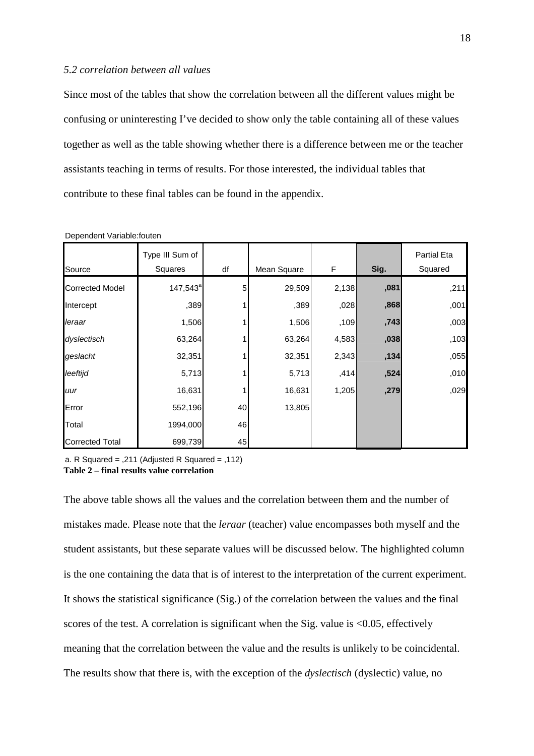#### *5.2 correlation between all values*

Since most of the tables that show the correlation between all the different values might be confusing or uninteresting I've decided to show only the table containing all of these values together as well as the table showing whether there is a difference between me or the teacher assistants teaching in terms of results. For those interested, the individual tables that contribute to these final tables can be found in the appendix.

| Source                 | Type III Sum of<br>Squares | df | Mean Square | F     | Sig. | Partial Eta<br>Squared |
|------------------------|----------------------------|----|-------------|-------|------|------------------------|
| <b>Corrected Model</b> | $147,543^a$                | 5  | 29,509      | 2,138 | ,081 | ,211                   |
| Intercept              | ,389                       |    | ,389        | ,028  | ,868 | ,001                   |
| leraar                 | 1,506                      |    | 1,506       | ,109  | ,743 | ,003                   |
| dyslectisch            | 63,264                     |    | 63,264      | 4,583 | ,038 | ,103                   |
| geslacht               | 32,351                     |    | 32,351      | 2,343 | ,134 | ,055                   |
| leeftijd               | 5,713                      |    | 5,713       | ,414  | ,524 | ,010                   |
| uur                    | 16,631                     |    | 16,631      | 1,205 | ,279 | ,029                   |
| Error                  | 552,196                    | 40 | 13,805      |       |      |                        |
| Total                  | 1994,000                   | 46 |             |       |      |                        |
| <b>Corrected Total</b> | 699,739                    | 45 |             |       |      |                        |

Dependent Variable:fouten

a. R Squared = ,211 (Adjusted R Squared = ,112) **Table 2 – final results value correlation** 

The above table shows all the values and the correlation between them and the number of mistakes made. Please note that the *leraar* (teacher) value encompasses both myself and the student assistants, but these separate values will be discussed below. The highlighted column is the one containing the data that is of interest to the interpretation of the current experiment. It shows the statistical significance (Sig.) of the correlation between the values and the final scores of the test. A correlation is significant when the Sig. value is  $\langle 0.05 \rangle$ , effectively meaning that the correlation between the value and the results is unlikely to be coincidental. The results show that there is, with the exception of the *dyslectisch* (dyslectic) value, no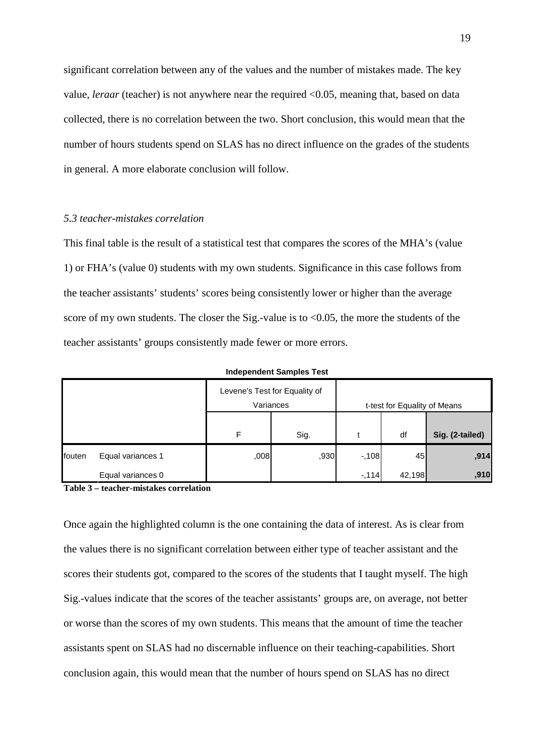significant correlation between any of the values and the number of mistakes made. The key value, *leraar* (teacher) is not anywhere near the required <0.05, meaning that, based on data collected, there is no correlation between the two. Short conclusion, this would mean that the number of hours students spend on SLAS has no direct influence on the grades of the students in general. A more elaborate conclusion will follow.

#### *5.3 teacher-mistakes correlation*

This final table is the result of a statistical test that compares the scores of the MHA's (value 1) or FHA's (value 0) students with my own students. Significance in this case follows from the teacher assistants' students' scores being consistently lower or higher than the average score of my own students. The closer the Sig.-value is to  $\leq 0.05$ , the more the students of the teacher assistants' groups consistently made fewer or more errors.

|        |                   |      | Levene's Test for Equality of |        |                              |                 |
|--------|-------------------|------|-------------------------------|--------|------------------------------|-----------------|
|        |                   |      | Variances                     |        | t-test for Equality of Means |                 |
|        |                   |      |                               |        |                              |                 |
|        |                   | F    | Sig.                          |        | df                           | Sig. (2-tailed) |
| fouten | Equal variances 1 | ,008 | ,930                          | $-108$ | 45                           | ,914            |
|        | Equal variances 0 |      |                               | $-114$ | 42,198                       | ,910            |

**Independent Samples Test**

**Table 3 – teacher-mistakes correlation** 

Once again the highlighted column is the one containing the data of interest. As is clear from the values there is no significant correlation between either type of teacher assistant and the scores their students got, compared to the scores of the students that I taught myself. The high Sig.-values indicate that the scores of the teacher assistants' groups are, on average, not better or worse than the scores of my own students. This means that the amount of time the teacher assistants spent on SLAS had no discernable influence on their teaching-capabilities. Short conclusion again, this would mean that the number of hours spend on SLAS has no direct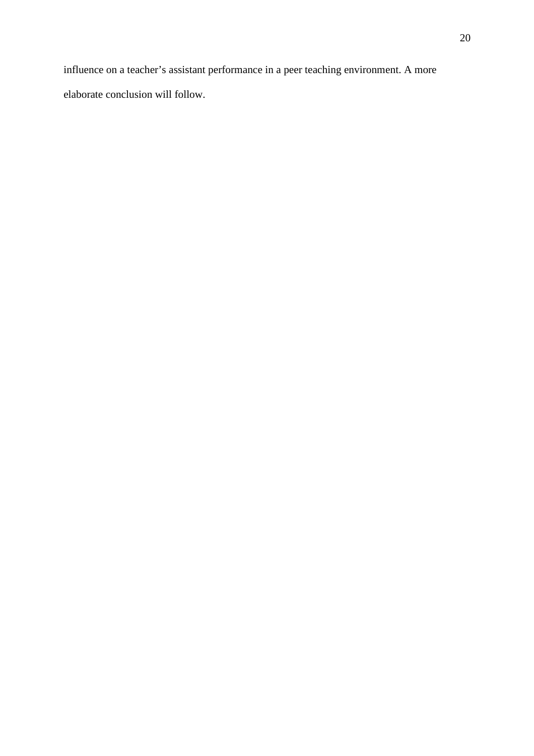influence on a teacher's assistant performance in a peer teaching environment. A more elaborate conclusion will follow.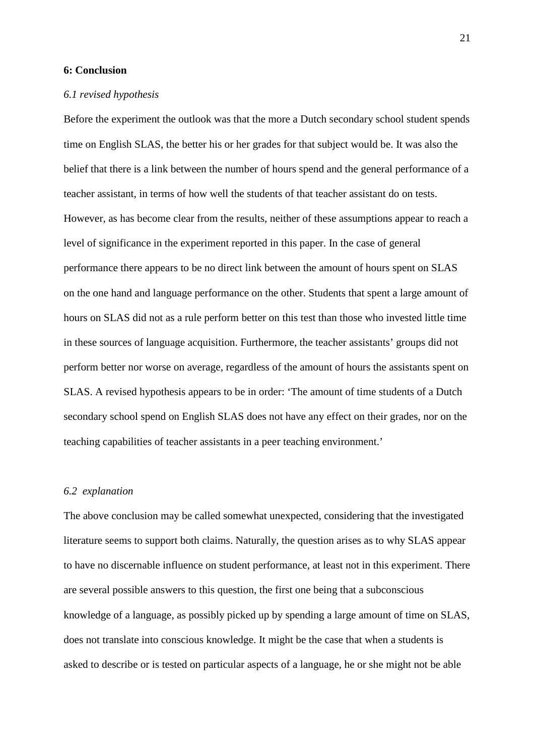#### **6: Conclusion**

#### *6.1 revised hypothesis*

Before the experiment the outlook was that the more a Dutch secondary school student spends time on English SLAS, the better his or her grades for that subject would be. It was also the belief that there is a link between the number of hours spend and the general performance of a teacher assistant, in terms of how well the students of that teacher assistant do on tests. However, as has become clear from the results, neither of these assumptions appear to reach a level of significance in the experiment reported in this paper. In the case of general performance there appears to be no direct link between the amount of hours spent on SLAS on the one hand and language performance on the other. Students that spent a large amount of hours on SLAS did not as a rule perform better on this test than those who invested little time in these sources of language acquisition. Furthermore, the teacher assistants' groups did not perform better nor worse on average, regardless of the amount of hours the assistants spent on SLAS. A revised hypothesis appears to be in order: 'The amount of time students of a Dutch secondary school spend on English SLAS does not have any effect on their grades, nor on the teaching capabilities of teacher assistants in a peer teaching environment.'

#### *6.2 explanation*

The above conclusion may be called somewhat unexpected, considering that the investigated literature seems to support both claims. Naturally, the question arises as to why SLAS appear to have no discernable influence on student performance, at least not in this experiment. There are several possible answers to this question, the first one being that a subconscious knowledge of a language, as possibly picked up by spending a large amount of time on SLAS, does not translate into conscious knowledge. It might be the case that when a students is asked to describe or is tested on particular aspects of a language, he or she might not be able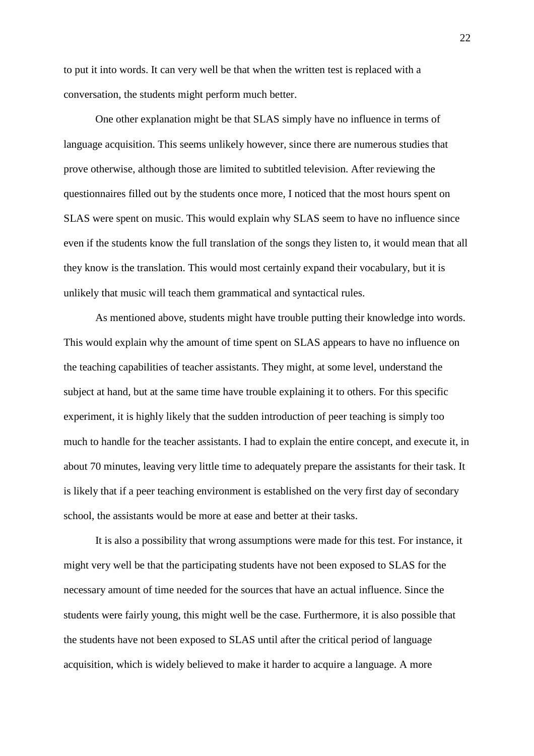to put it into words. It can very well be that when the written test is replaced with a conversation, the students might perform much better.

 One other explanation might be that SLAS simply have no influence in terms of language acquisition. This seems unlikely however, since there are numerous studies that prove otherwise, although those are limited to subtitled television. After reviewing the questionnaires filled out by the students once more, I noticed that the most hours spent on SLAS were spent on music. This would explain why SLAS seem to have no influence since even if the students know the full translation of the songs they listen to, it would mean that all they know is the translation. This would most certainly expand their vocabulary, but it is unlikely that music will teach them grammatical and syntactical rules.

 As mentioned above, students might have trouble putting their knowledge into words. This would explain why the amount of time spent on SLAS appears to have no influence on the teaching capabilities of teacher assistants. They might, at some level, understand the subject at hand, but at the same time have trouble explaining it to others. For this specific experiment, it is highly likely that the sudden introduction of peer teaching is simply too much to handle for the teacher assistants. I had to explain the entire concept, and execute it, in about 70 minutes, leaving very little time to adequately prepare the assistants for their task. It is likely that if a peer teaching environment is established on the very first day of secondary school, the assistants would be more at ease and better at their tasks.

 It is also a possibility that wrong assumptions were made for this test. For instance, it might very well be that the participating students have not been exposed to SLAS for the necessary amount of time needed for the sources that have an actual influence. Since the students were fairly young, this might well be the case. Furthermore, it is also possible that the students have not been exposed to SLAS until after the critical period of language acquisition, which is widely believed to make it harder to acquire a language. A more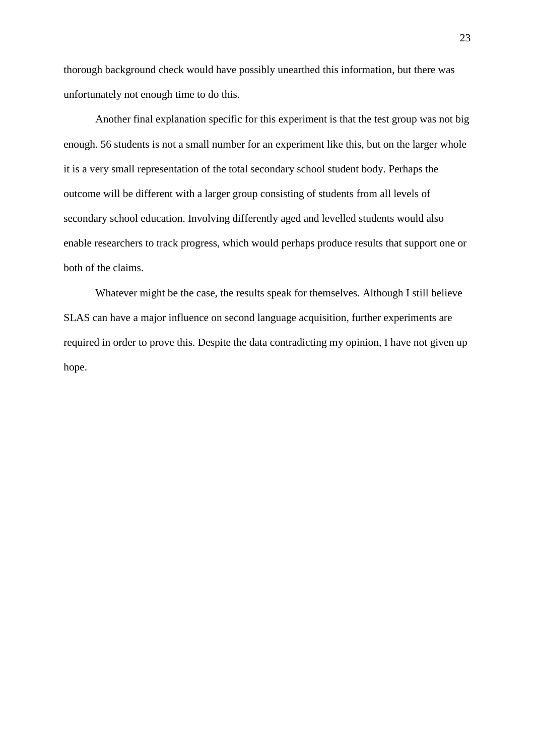thorough background check would have possibly unearthed this information, but there was unfortunately not enough time to do this.

 Another final explanation specific for this experiment is that the test group was not big enough. 56 students is not a small number for an experiment like this, but on the larger whole it is a very small representation of the total secondary school student body. Perhaps the outcome will be different with a larger group consisting of students from all levels of secondary school education. Involving differently aged and levelled students would also enable researchers to track progress, which would perhaps produce results that support one or both of the claims.

 Whatever might be the case, the results speak for themselves. Although I still believe SLAS can have a major influence on second language acquisition, further experiments are required in order to prove this. Despite the data contradicting my opinion, I have not given up hope.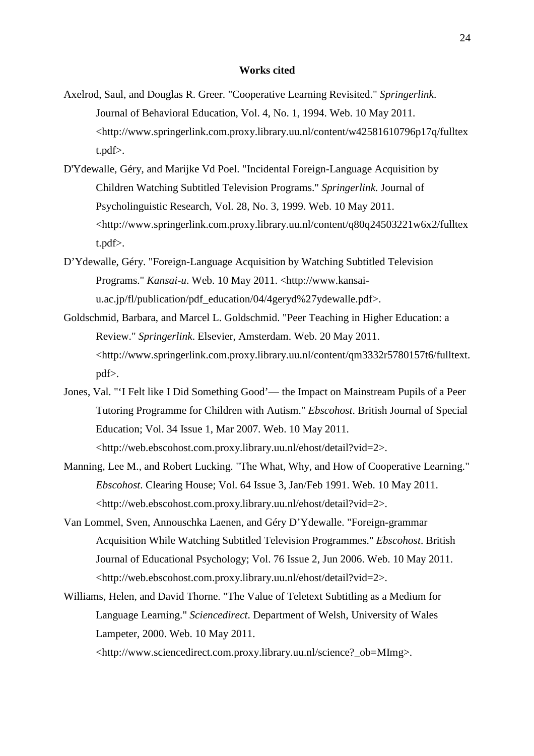#### **Works cited**

- Axelrod, Saul, and Douglas R. Greer. "Cooperative Learning Revisited." *Springerlink*. Journal of Behavioral Education, Vol. 4, No. 1, 1994. Web. 10 May 2011. <http://www.springerlink.com.proxy.library.uu.nl/content/w42581610796p17q/fulltex t.pdf>.
- D'Ydewalle, Géry, and Marijke Vd Poel. "Incidental Foreign-Language Acquisition by Children Watching Subtitled Television Programs." *Springerlink*. Journal of Psycholinguistic Research, Vol. 28, No. 3, 1999. Web. 10 May 2011. <http://www.springerlink.com.proxy.library.uu.nl/content/q80q24503221w6x2/fulltex t.pdf>.
- D'Ydewalle, Géry. "Foreign-Language Acquisition by Watching Subtitled Television Programs." *Kansai-u*. Web. 10 May 2011. <http://www.kansaiu.ac.jp/fl/publication/pdf\_education/04/4geryd%27ydewalle.pdf>.
- Goldschmid, Barbara, and Marcel L. Goldschmid. "Peer Teaching in Higher Education: a Review." *Springerlink*. Elsevier, Amsterdam. Web. 20 May 2011. <http://www.springerlink.com.proxy.library.uu.nl/content/qm3332r5780157t6/fulltext. pdf>.
- Jones, Val. "'I Felt like I Did Something Good'— the Impact on Mainstream Pupils of a Peer Tutoring Programme for Children with Autism." *Ebscohost*. British Journal of Special Education; Vol. 34 Issue 1, Mar 2007. Web. 10 May 2011. <http://web.ebscohost.com.proxy.library.uu.nl/ehost/detail?vid=2>.
- Manning, Lee M., and Robert Lucking. "The What, Why, and How of Cooperative Learning." *Ebscohost*. Clearing House; Vol. 64 Issue 3, Jan/Feb 1991. Web. 10 May 2011. <http://web.ebscohost.com.proxy.library.uu.nl/ehost/detail?vid=2>.
- Van Lommel, Sven, Annouschka Laenen, and Géry D'Ydewalle. "Foreign-grammar Acquisition While Watching Subtitled Television Programmes." *Ebscohost*. British Journal of Educational Psychology; Vol. 76 Issue 2, Jun 2006. Web. 10 May 2011. <http://web.ebscohost.com.proxy.library.uu.nl/ehost/detail?vid=2>.
- Williams, Helen, and David Thorne. "The Value of Teletext Subtitling as a Medium for Language Learning." *Sciencedirect*. Department of Welsh, University of Wales Lampeter, 2000. Web. 10 May 2011.

<http://www.sciencedirect.com.proxy.library.uu.nl/science?\_ob=MImg>.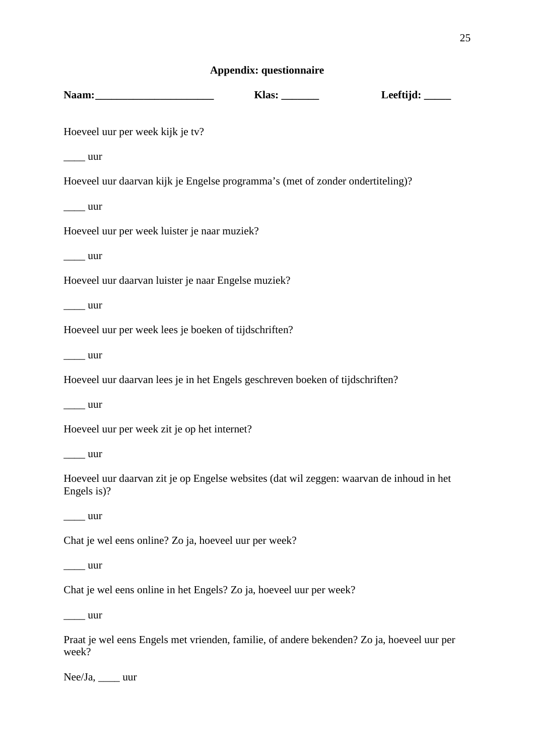# **Appendix: questionnaire**

|                                                                                                                                                                                                                                                                                                                                                                                                                                                           | Klas: $\frac{1}{\sqrt{1-\frac{1}{2}}\sqrt{1-\frac{1}{2}}\left\vert \frac{1}{2}+1\right\vert }$ | Leeftijd: $\_\_\_\_\_\_\_\_\_\_\_\_\_\_\_\_\_\_\_\_\_\_\_\_\_\_\_\_\_\_\_\_\_$ |
|-----------------------------------------------------------------------------------------------------------------------------------------------------------------------------------------------------------------------------------------------------------------------------------------------------------------------------------------------------------------------------------------------------------------------------------------------------------|------------------------------------------------------------------------------------------------|--------------------------------------------------------------------------------|
| Hoeveel uur per week kijk je tv?                                                                                                                                                                                                                                                                                                                                                                                                                          |                                                                                                |                                                                                |
| $\frac{1}{2}$ uur                                                                                                                                                                                                                                                                                                                                                                                                                                         |                                                                                                |                                                                                |
| Hoeveel uur daarvan kijk je Engelse programma's (met of zonder ondertiteling)?                                                                                                                                                                                                                                                                                                                                                                            |                                                                                                |                                                                                |
| $\frac{1}{2}$ uur                                                                                                                                                                                                                                                                                                                                                                                                                                         |                                                                                                |                                                                                |
| Hoeveel uur per week luister je naar muziek?                                                                                                                                                                                                                                                                                                                                                                                                              |                                                                                                |                                                                                |
| $\frac{1}{2}$ uur                                                                                                                                                                                                                                                                                                                                                                                                                                         |                                                                                                |                                                                                |
| Hoeveel uur daarvan luister je naar Engelse muziek?                                                                                                                                                                                                                                                                                                                                                                                                       |                                                                                                |                                                                                |
| $\frac{1}{2}$ uur                                                                                                                                                                                                                                                                                                                                                                                                                                         |                                                                                                |                                                                                |
| Hoeveel uur per week lees je boeken of tijdschriften?                                                                                                                                                                                                                                                                                                                                                                                                     |                                                                                                |                                                                                |
| $\frac{1}{\sqrt{1-\frac{1}{2}}}\$ uur                                                                                                                                                                                                                                                                                                                                                                                                                     |                                                                                                |                                                                                |
| Hoeveel uur daarvan lees je in het Engels geschreven boeken of tijdschriften?                                                                                                                                                                                                                                                                                                                                                                             |                                                                                                |                                                                                |
| $\frac{1}{2}$ uur                                                                                                                                                                                                                                                                                                                                                                                                                                         |                                                                                                |                                                                                |
| Hoeveel uur per week zit je op het internet?                                                                                                                                                                                                                                                                                                                                                                                                              |                                                                                                |                                                                                |
| uur                                                                                                                                                                                                                                                                                                                                                                                                                                                       |                                                                                                |                                                                                |
| Hoeveel uur daarvan zit je op Engelse websites (dat wil zeggen: waarvan de inhoud in het<br>Engels is)?                                                                                                                                                                                                                                                                                                                                                   |                                                                                                |                                                                                |
| uur                                                                                                                                                                                                                                                                                                                                                                                                                                                       |                                                                                                |                                                                                |
| Chat je wel eens online? Zo ja, hoeveel uur per week?                                                                                                                                                                                                                                                                                                                                                                                                     |                                                                                                |                                                                                |
| $\frac{1}{\sqrt{1-\frac{1}{2}}}\$ uur                                                                                                                                                                                                                                                                                                                                                                                                                     |                                                                                                |                                                                                |
| Chat je wel eens online in het Engels? Zo ja, hoeveel uur per week?                                                                                                                                                                                                                                                                                                                                                                                       |                                                                                                |                                                                                |
| $\frac{1}{\sqrt{1-\frac{1}{2}}}\cdot \frac{1}{\sqrt{1-\frac{1}{2}}}\cdot \frac{1}{\sqrt{1-\frac{1}{2}}}\cdot \frac{1}{\sqrt{1-\frac{1}{2}}}\cdot \frac{1}{\sqrt{1-\frac{1}{2}}}\cdot \frac{1}{\sqrt{1-\frac{1}{2}}}\cdot \frac{1}{\sqrt{1-\frac{1}{2}}}\cdot \frac{1}{\sqrt{1-\frac{1}{2}}}\cdot \frac{1}{\sqrt{1-\frac{1}{2}}}\cdot \frac{1}{\sqrt{1-\frac{1}{2}}}\cdot \frac{1}{\sqrt{1-\frac{1}{2}}}\cdot \frac{1}{\sqrt{1-\frac{1}{2}}}\cdot \frac{1$ |                                                                                                |                                                                                |
| Praat je wel eens Engels met vrienden, familie, of andere bekenden? Zo ja, hoeveel uur per<br>week?                                                                                                                                                                                                                                                                                                                                                       |                                                                                                |                                                                                |

Nee/Ja, \_\_\_\_ uur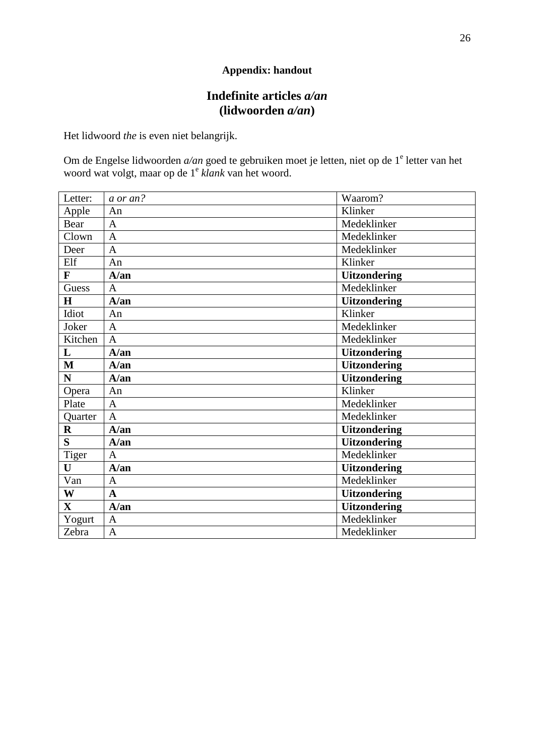# **Appendix: handout**

# **Indefinite articles** *a/an*  **(lidwoorden** *a/an***)**

Het lidwoord *the* is even niet belangrijk.

Om de Engelse lidwoorden *a/an* goed te gebruiken moet je letten, niet op de 1<sup>e</sup> letter van het woord wat volgt, maar op de 1<sup>e</sup> *klank* van het woord.

| Letter:      | a or an?       | Waarom?             |
|--------------|----------------|---------------------|
| Apple        | An             | Klinker             |
| Bear         | $\mathbf{A}$   | Medeklinker         |
| Clown        | $\overline{A}$ | Medeklinker         |
| Deer         | $\overline{A}$ | Medeklinker         |
| Elf          | An             | Klinker             |
| F            | A/an           | <b>Uitzondering</b> |
| Guess        | $\mathbf{A}$   | Medeklinker         |
| H            | A/an           | <b>Uitzondering</b> |
| Idiot        | An             | Klinker             |
| Joker        | $\mathbf{A}$   | Medeklinker         |
| Kitchen      | $\mathbf{A}$   | Medeklinker         |
| $\mathbf{L}$ | A/an           | <b>Uitzondering</b> |
| M            | $A/\text{an}$  | <b>Uitzondering</b> |
| N            | $A/\text{an}$  | <b>Uitzondering</b> |
|              |                |                     |
| Opera        | An             | Klinker             |
| Plate        | $\mathbf{A}$   | Medeklinker         |
| Quarter      | $\mathbf{A}$   | Medeklinker         |
| $\mathbf{R}$ | $A/\text{an}$  | <b>Uitzondering</b> |
| S            | A/an           | <b>Uitzondering</b> |
|              | A              | Medeklinker         |
| Tiger<br>U   | A/an           | <b>Uitzondering</b> |
| Van          | A              | Medeklinker         |
| W            | $\mathbf A$    | <b>Uitzondering</b> |
| $\mathbf{X}$ | A/an           | <b>Uitzondering</b> |
| Yogurt       | $\mathbf{A}$   | Medeklinker         |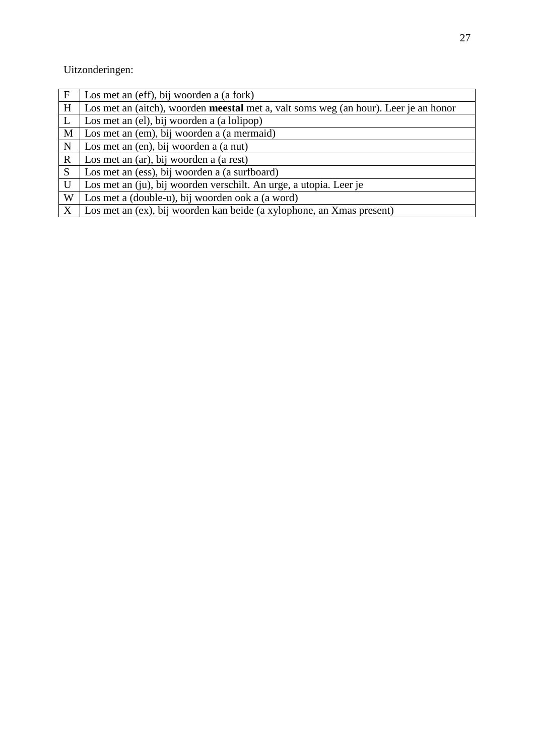Uitzonderingen:

| F            | Los met an (eff), bij woorden a (a fork)                                                    |
|--------------|---------------------------------------------------------------------------------------------|
| H            | Los met an (aitch), woorden <b>meestal</b> met a, valt soms weg (an hour). Leer je an honor |
| L            | Los met an (el), bij woorden a (a lolipop)                                                  |
| M            | Los met an (em), bij woorden a (a mermaid)                                                  |
| $\mathbf N$  | Los met an (en), bij woorden a (a nut)                                                      |
| $\mathbf R$  | Los met an (ar), bij woorden a (a rest)                                                     |
| S            | Los met an (ess), bij woorden a (a surfboard)                                               |
| U            | Los met an (ju), bij woorden verschilt. An urge, a utopia. Leer je                          |
| W            | Los met a (double-u), bij woorden ook a (a word)                                            |
| $\mathbf{X}$ | Los met an (ex), bij woorden kan beide (a xylophone, an Xmas present)                       |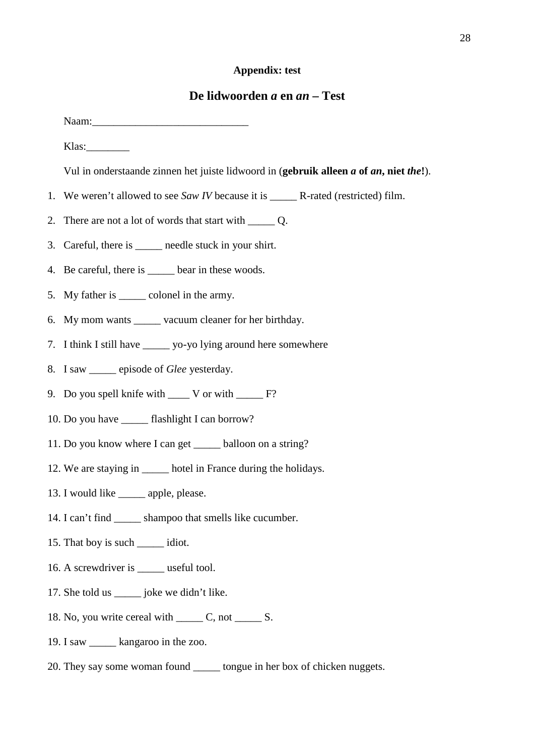#### **Appendix: test**

## **De lidwoorden** *a* **en** *an* **– Test**

Naam: Klas:\_\_\_\_\_\_\_\_ Vul in onderstaande zinnen het juiste lidwoord in (**gebruik alleen** *a* **of** *an***, niet** *the***!**). 1. We weren't allowed to see *Saw IV* because it is \_\_\_\_\_ R-rated (restricted) film. 2. There are not a lot of words that start with \_\_\_\_\_ Q. 3. Careful, there is \_\_\_\_\_ needle stuck in your shirt. 4. Be careful, there is bear in these woods. 5. My father is \_\_\_\_\_ colonel in the army. 6. My mom wants vacuum cleaner for her birthday. 7. I think I still have \_\_\_\_\_ yo-yo lying around here somewhere 8. I saw episode of *Glee* yesterday. 9. Do you spell knife with \_\_\_\_ V or with \_\_\_\_\_ F? 10. Do you have flashlight I can borrow? 11. Do you know where I can get \_\_\_\_\_ balloon on a string? 12. We are staying in \_\_\_\_\_\_ hotel in France during the holidays. 13. I would like \_\_\_\_\_\_ apple, please. 14. I can't find shampoo that smells like cucumber. 15. That boy is such \_\_\_\_\_ idiot. 16. A screwdriver is \_\_\_\_\_ useful tool. 17. She told us \_\_\_\_\_ joke we didn't like. 18. No, you write cereal with C, not \_\_\_\_\_\_\_\_ S.

- 19. I saw \_\_\_\_\_ kangaroo in the zoo.
- 20. They say some woman found tongue in her box of chicken nuggets.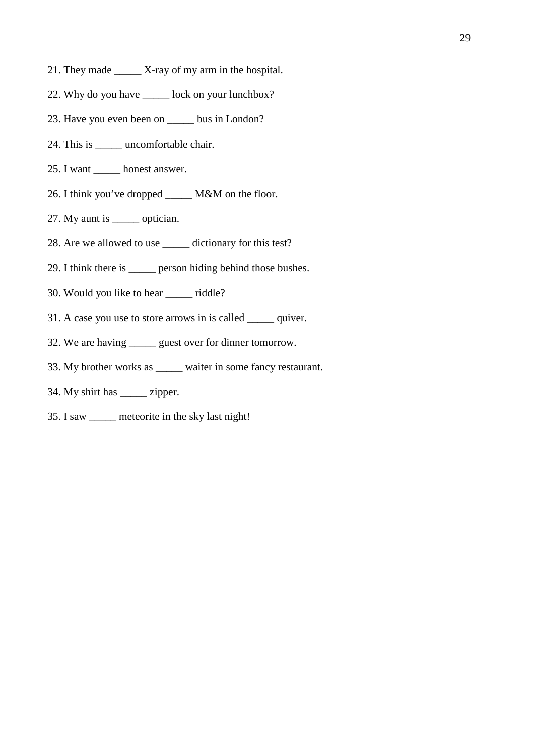- 21. They made \_\_\_\_\_ X-ray of my arm in the hospital.
- 22. Why do you have lock on your lunchbox?
- 23. Have you even been on \_\_\_\_\_ bus in London?
- 24. This is \_\_\_\_\_ uncomfortable chair.
- 25. I want \_\_\_\_\_ honest answer.
- 26. I think you've dropped \_\_\_\_\_ M&M on the floor.
- 27. My aunt is \_\_\_\_\_ optician.
- 28. Are we allowed to use \_\_\_\_\_ dictionary for this test?
- 29. I think there is \_\_\_\_\_ person hiding behind those bushes.
- 30. Would you like to hear \_\_\_\_\_ riddle?
- 31. A case you use to store arrows in is called \_\_\_\_\_ quiver.
- 32. We are having \_\_\_\_\_ guest over for dinner tomorrow.
- 33. My brother works as \_\_\_\_\_ waiter in some fancy restaurant.
- 34. My shirt has \_\_\_\_\_ zipper.
- 35. I saw \_\_\_\_\_ meteorite in the sky last night!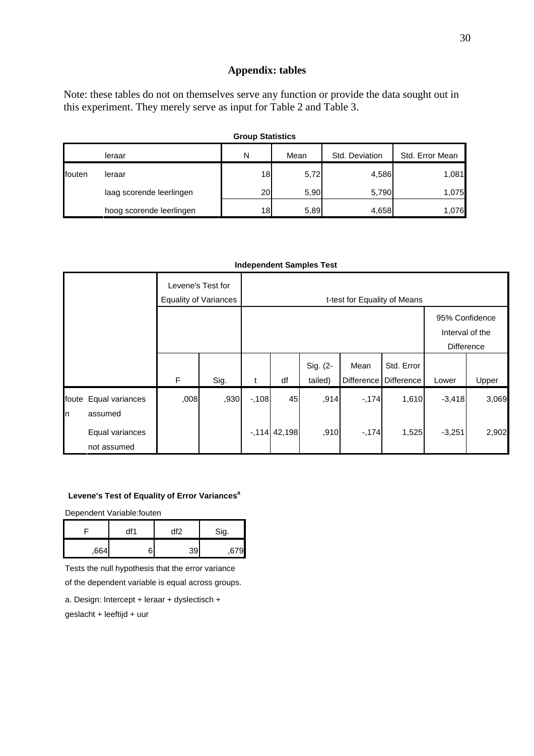#### **Appendix: tables**

Note: these tables do not on themselves serve any function or provide the data sought out in this experiment. They merely serve as input for Table 2 and Table 3.

| <b>Group Statistics</b> |                          |           |      |                |                 |  |  |  |
|-------------------------|--------------------------|-----------|------|----------------|-----------------|--|--|--|
|                         | leraar                   | N         | Mean | Std. Deviation | Std. Error Mean |  |  |  |
| fouten                  | leraar                   | 18        | 5,72 | 4,586          | 1,081           |  |  |  |
|                         | laag scorende leerlingen | <b>20</b> | 5,90 | 5,790          | 1.075           |  |  |  |
|                         | hoog scorende leerlingen | 18        | 5,89 | 4,658          | 1,076           |  |  |  |

#### **Independent Samples Test**

|                     |                                | Levene's Test for | <b>Equality of Variances</b> |        | t-test for Equality of Means |                     |                           |                                                 |          |       |
|---------------------|--------------------------------|-------------------|------------------------------|--------|------------------------------|---------------------|---------------------------|-------------------------------------------------|----------|-------|
|                     |                                |                   |                              |        |                              |                     |                           | 95% Confidence<br>Interval of the<br>Difference |          |       |
|                     |                                | $\mathsf{F}$      | Sig.                         | t      | df                           | Sig. (2-<br>tailed) | Mean<br><b>Difference</b> | Std. Error<br>Difference                        | Lower    | Upper |
| foute<br><b>I</b> n | Equal variances<br>assumed     | ,008              | ,930                         | $-108$ | 45                           | ,914                | $-174$                    | 1,610                                           | $-3,418$ | 3,069 |
|                     | Equal variances<br>not assumed |                   |                              |        | $-114$ 42,198                | ,910                | $-174$                    | 1,525                                           | $-3,251$ | 2,902 |

#### **Levene's Test of Equality of Error Variances<sup>a</sup>**

Dependent Variable:fouten

|     | df1 | df2 | Sig. |  |
|-----|-----|-----|------|--|
| 664 | ⌒   | 39  |      |  |

Tests the null hypothesis that the error variance

of the dependent variable is equal across groups.

a. Design: Intercept + leraar + dyslectisch + geslacht + leeftijd + uur